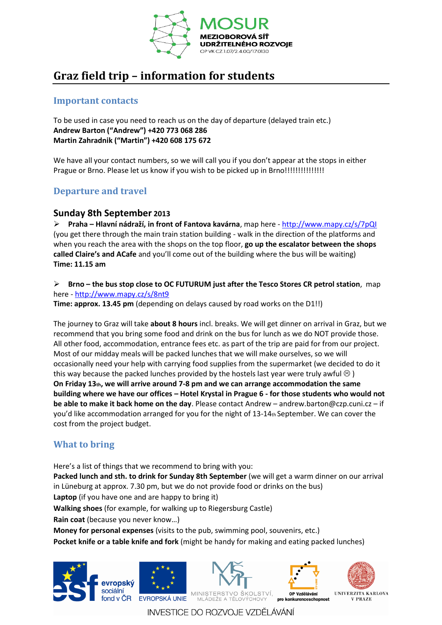

# **Graz field trip – information for students**

### **Important contacts**

To be used in case you need to reach us on the day of departure (delayed train etc.) **Andrew Barton ("Andrew") +420 773 068 286 Martin Zahradnik ("Martin") +420 608 175 672**

We have all your contact numbers, so we will call you if you don't appear at the stops in either Prague or Brno. Please let us know if you wish to be picked up in Brno!!!!!!!!!!!!!!!

# **Departure and travel**

#### **Sunday 8th September 2013**

**Praha – Hlavní nádraží, in front of Fantova kavárna**, map here - <http://www.mapy.cz/s/7pQI> (you get there through the main train station building - walk in the direction of the platforms and when you reach the area with the shops on the top floor, **go up the escalator between the shops called Claire's and ACafe** and you'll come out of the building where the bus will be waiting) **Time: 11.15 am** 

**Brno – the bus stop close to OC FUTURUM just after the Tesco Stores CR petrol station**, map here - <http://www.mapy.cz/s/8nt9>

**Time: approx. 13.45 pm** (depending on delays caused by road works on the D1!!)

The journey to Graz will take **about 8 hours** incl. breaks. We will get dinner on arrival in Graz, but we recommend that you bring some food and drink on the bus for lunch as we do NOT provide those. All other food, accommodation, entrance fees etc. as part of the trip are paid for from our project. Most of our midday meals will be packed lunches that we will make ourselves, so we will occasionally need your help with carrying food supplies from the supermarket (we decided to do it this way because the packed lunches provided by the hostels last year were truly awful  $\circledR$ ) **On Friday 13th, we will arrive around 7-8 pm and we can arrange accommodation the same building where we have our offices – Hotel Krystal in Prague 6 - for those students who would not be able to make it back home on the day**. Please contact Andrew – andrew.barton@czp.cuni.cz – if you'd like accommodation arranged for you for the night of 13-14th September. We can cover the cost from the project budget.

## **What to bring**

Here's a list of things that we recommend to bring with you: **Packed lunch and sth. to drink for Sunday 8th September** (we will get a warm dinner on our arrival in Lüneburg at approx. 7.30 pm, but we do not provide food or drinks on the bus) **Laptop** (if you have one and are happy to bring it) **Walking shoes** (for example, for walking up to Riegersburg Castle) **Rain coat** (because you never know…) **Money for personal expenses** (visits to the pub, swimming pool, souvenirs, etc.)

**Pocket knife or a table knife and fork** (might be handy for making and eating packed lunches)



INVESTICE DO ROZVOJE VZDĚLÁVÁNÍ